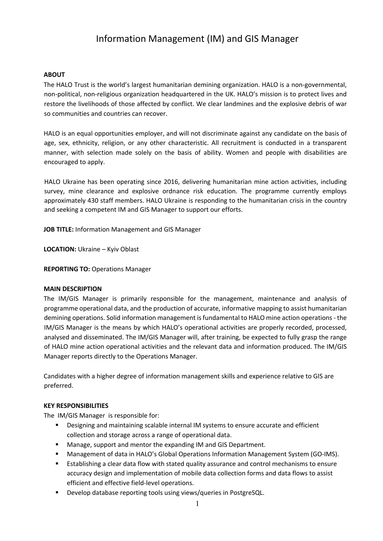# Information Management (IM) and GIS Manager

#### **ABOUT**

The HALO Trust is the world's largest humanitarian demining organization. HALO is a non-governmental, non-political, non-religious organization headquartered in the UK. HALO's mission is to protect lives and restore the livelihoods of those affected by conflict. We clear landmines and the explosive debris of war so communities and countries can recover.

HALO is an equal opportunities employer, and will not discriminate against any candidate on the basis of age, sex, ethnicity, religion, or any other characteristic. All recruitment is conducted in a transparent manner, with selection made solely on the basis of ability. Women and people with disabilities are encouraged to apply.

HALO Ukraine has been operating since 2016, delivering humanitarian mine action activities, including survey, mine clearance and explosive ordnance risk education. The programme currently employs approximately 430 staff members. HALO Ukraine is responding to the humanitarian crisis in the country and seeking a competent IM and GIS Manager to support our efforts.

**JOB TITLE:** Information Management and GIS Manager

**LOCATION:** Ukraine – Kyiv Oblast

**REPORTING TO:** Operations Manager

#### **MAIN DESCRIPTION**

The IM/GIS Manager is primarily responsible for the management, maintenance and analysis of programme operational data, and the production of accurate, informative mapping to assist humanitarian demining operations. Solid information management is fundamental to HALO mine action operations - the IM/GIS Manager is the means by which HALO's operational activities are properly recorded, processed, analysed and disseminated. The IM/GIS Manager will, after training, be expected to fully grasp the range of HALO mine action operational activities and the relevant data and information produced. The IM/GIS Manager reports directly to the Operations Manager.

Candidates with a higher degree of information management skills and experience relative to GIS are preferred.

#### **KEY RESPONSIBILITIES**

The IM/GIS Manager is responsible for:

- Designing and maintaining scalable internal IM systems to ensure accurate and efficient collection and storage across a range of operational data.
- Manage, support and mentor the expanding IM and GIS Department.
- Management of data in HALO's Global Operations Information Management System (GO-IMS).
- Establishing a clear data flow with stated quality assurance and control mechanisms to ensure accuracy design and implementation of mobile data collection forms and data flows to assist efficient and effective field-level operations.
- Develop database reporting tools using views/queries in PostgreSQL.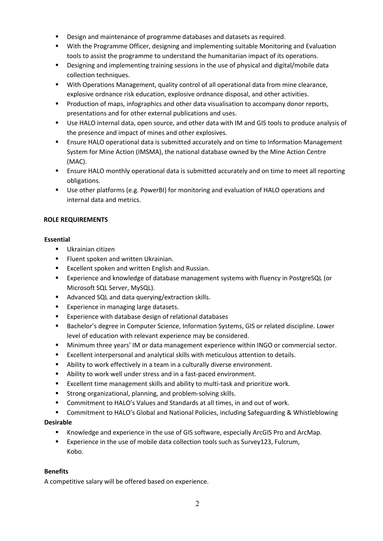- Design and maintenance of programme databases and datasets as required.
- With the Programme Officer, designing and implementing suitable Monitoring and Evaluation tools to assist the programme to understand the humanitarian impact of its operations.
- Designing and implementing training sessions in the use of physical and digital/mobile data collection techniques.
- With Operations Management, quality control of all operational data from mine clearance, explosive ordnance risk education, explosive ordnance disposal, and other activities.
- Production of maps, infographics and other data visualisation to accompany donor reports, presentations and for other external publications and uses.
- Use HALO internal data, open source, and other data with IM and GIS tools to produce analysis of the presence and impact of mines and other explosives.
- Ensure HALO operational data is submitted accurately and on time to Information Management System for Mine Action (IMSMA), the national database owned by the Mine Action Centre (MAC).
- **E** Ensure HALO monthly operational data is submitted accurately and on time to meet all reporting obligations.
- Use other platforms (e.g. PowerBI) for monitoring and evaluation of HALO operations and internal data and metrics.

## **ROLE REQUIREMENTS**

## **Essential**

- § Ukrainian citizen
- Fluent spoken and written Ukrainian.
- Excellent spoken and written English and Russian.
- § Experience and knowledge of database management systems with fluency in PostgreSQL (or Microsoft SQL Server, MySQL).
- Advanced SQL and data querying/extraction skills.
- Experience in managing large datasets.
- Experience with database design of relational databases
- Bachelor's degree in Computer Science, Information Systems, GIS or related discipline. Lower level of education with relevant experience may be considered.
- **■** Minimum three years' IM or data management experience within INGO or commercial sector.
- Excellent interpersonal and analytical skills with meticulous attention to details.
- Ability to work effectively in a team in a culturally diverse environment.
- Ability to work well under stress and in a fast-paced environment.
- Excellent time management skills and ability to multi-task and prioritize work.
- Strong organizational, planning, and problem-solving skills.
- Commitment to HALO's Values and Standards at all times, in and out of work.
- Commitment to HALO's Global and National Policies, including Safeguarding & Whistleblowing

## **Desirable**

- § Knowledge and experience in the use of GIS software, especially ArcGIS Pro and ArcMap.
- Experience in the use of mobile data collection tools such as Survey123, Fulcrum, Kobo.

## **Benefits**

A competitive salary will be offered based on experience.